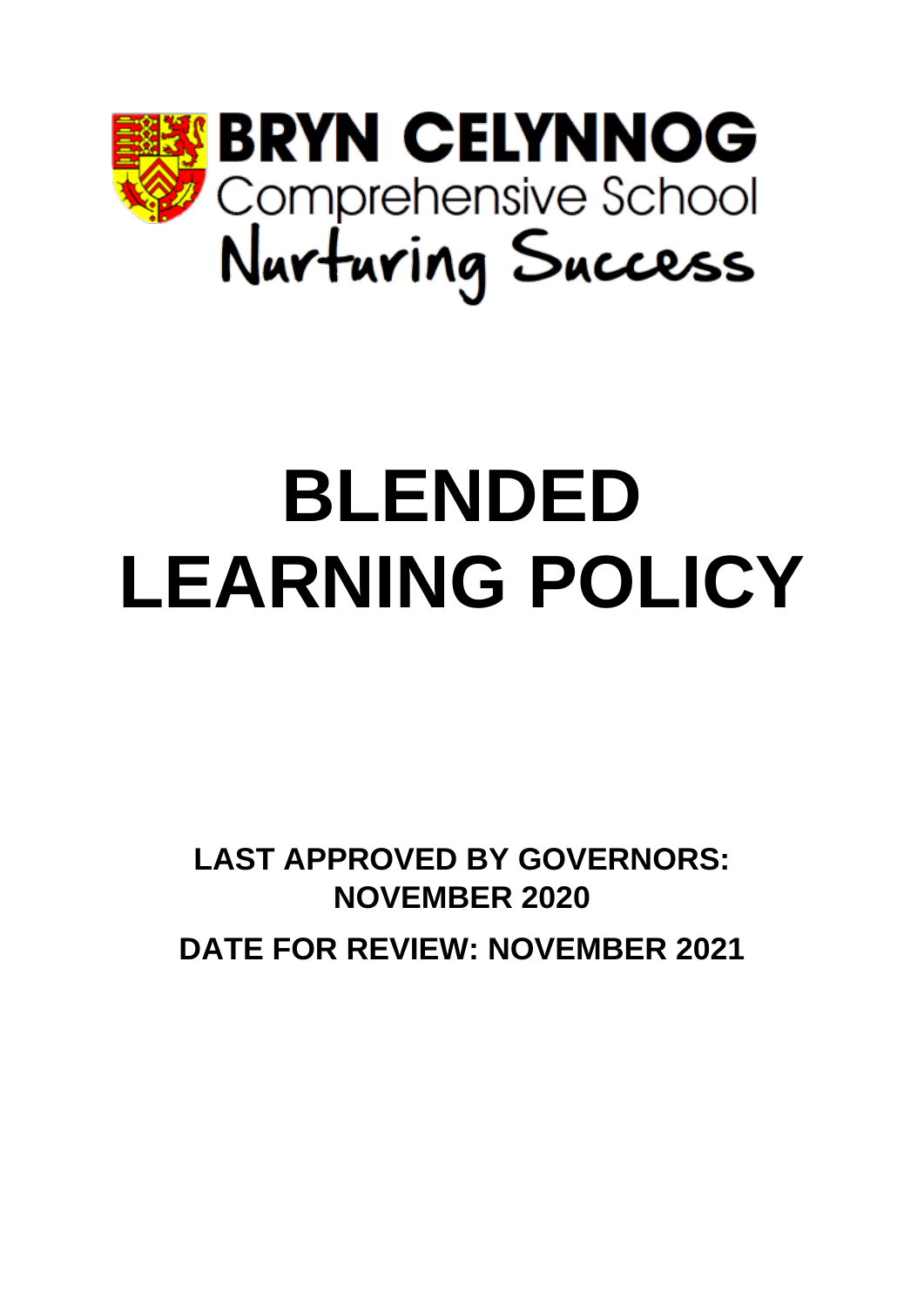

# **BLENDED LEARNING POLICY**

**LAST APPROVED BY GOVERNORS: NOVEMBER 2020 DATE FOR REVIEW: NOVEMBER 2021**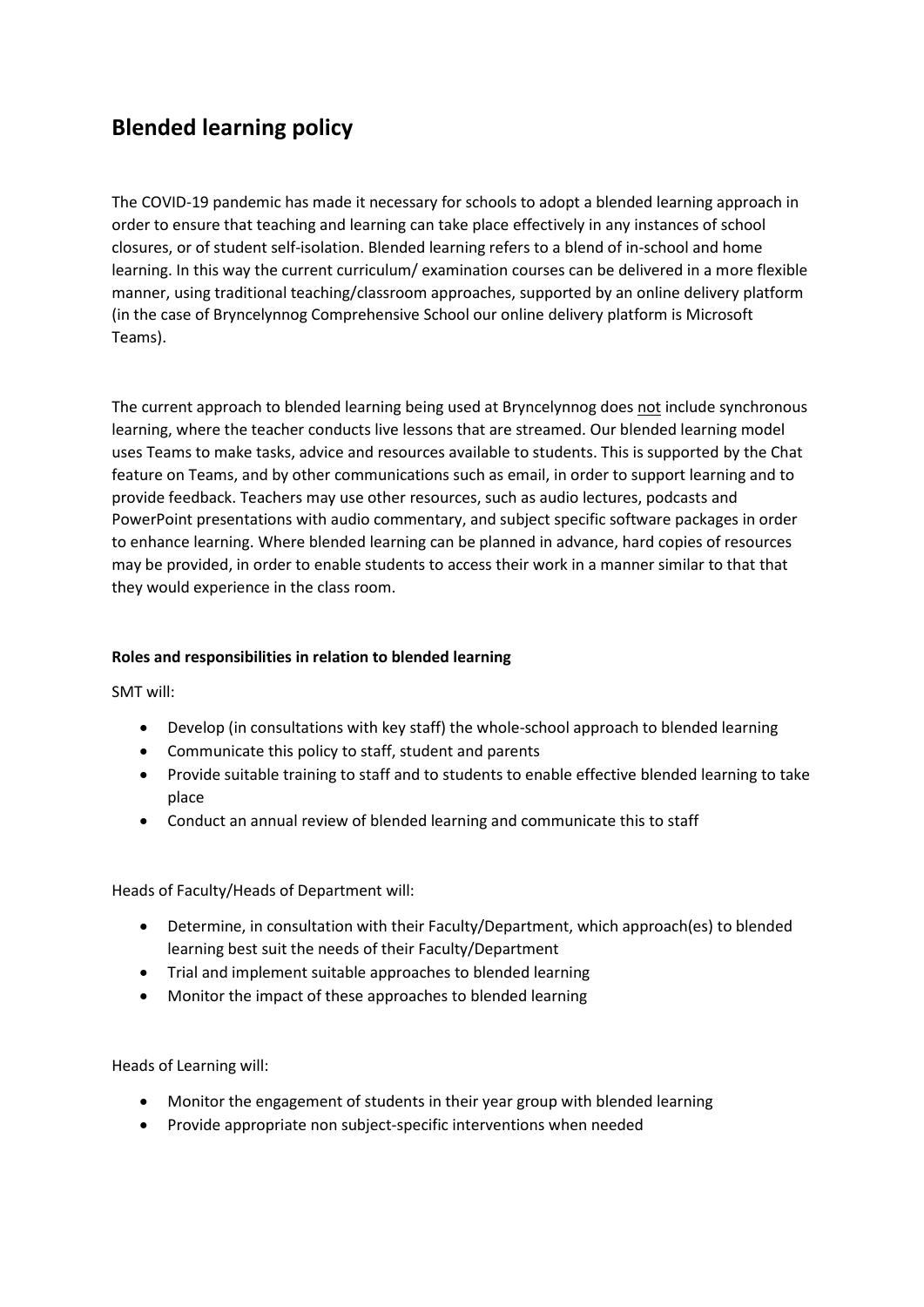## **Blended learning policy**

The COVID-19 pandemic has made it necessary for schools to adopt a blended learning approach in order to ensure that teaching and learning can take place effectively in any instances of school closures, or of student self-isolation. Blended learning refers to a blend of in-school and home learning. In this way the current curriculum/ examination courses can be delivered in a more flexible manner, using traditional teaching/classroom approaches, supported by an online delivery platform (in the case of Bryncelynnog Comprehensive School our online delivery platform is Microsoft Teams).

The current approach to blended learning being used at Bryncelynnog does not include synchronous learning, where the teacher conducts live lessons that are streamed. Our blended learning model uses Teams to make tasks, advice and resources available to students. This is supported by the Chat feature on Teams, and by other communications such as email, in order to support learning and to provide feedback. Teachers may use other resources, such as audio lectures, podcasts and PowerPoint presentations with audio commentary, and subject specific software packages in order to enhance learning. Where blended learning can be planned in advance, hard copies of resources may be provided, in order to enable students to access their work in a manner similar to that that they would experience in the class room.

#### **Roles and responsibilities in relation to blended learning**

SMT will:

- Develop (in consultations with key staff) the whole-school approach to blended learning
- Communicate this policy to staff, student and parents
- Provide suitable training to staff and to students to enable effective blended learning to take place
- Conduct an annual review of blended learning and communicate this to staff

Heads of Faculty/Heads of Department will:

- Determine, in consultation with their Faculty/Department, which approach(es) to blended learning best suit the needs of their Faculty/Department
- Trial and implement suitable approaches to blended learning
- Monitor the impact of these approaches to blended learning

Heads of Learning will:

- Monitor the engagement of students in their year group with blended learning
- Provide appropriate non subject-specific interventions when needed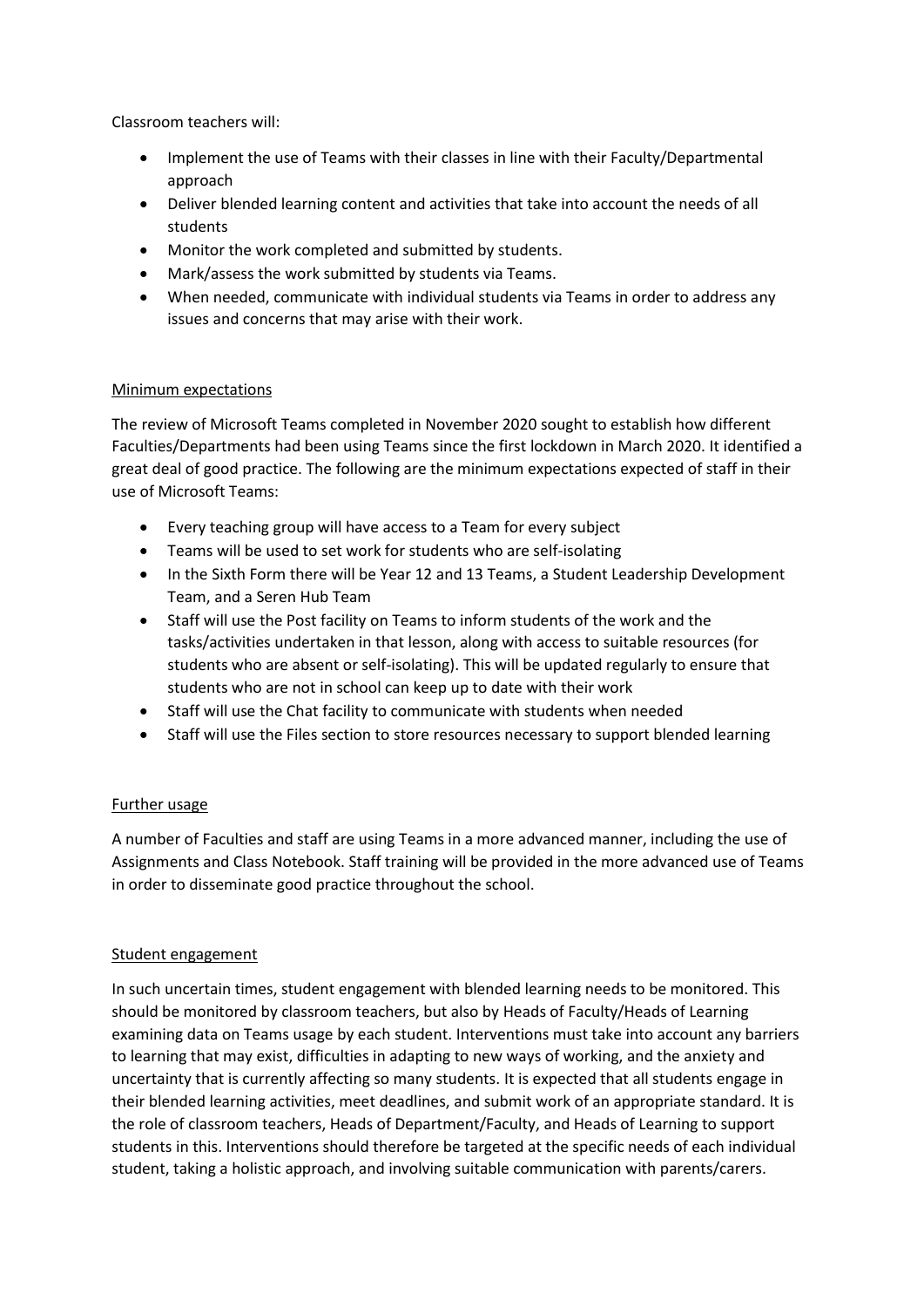Classroom teachers will:

- Implement the use of Teams with their classes in line with their Faculty/Departmental approach
- Deliver blended learning content and activities that take into account the needs of all students
- Monitor the work completed and submitted by students.
- Mark/assess the work submitted by students via Teams.
- When needed, communicate with individual students via Teams in order to address any issues and concerns that may arise with their work.

#### Minimum expectations

The review of Microsoft Teams completed in November 2020 sought to establish how different Faculties/Departments had been using Teams since the first lockdown in March 2020. It identified a great deal of good practice. The following are the minimum expectations expected of staff in their use of Microsoft Teams:

- Every teaching group will have access to a Team for every subject
- Teams will be used to set work for students who are self-isolating
- In the Sixth Form there will be Year 12 and 13 Teams, a Student Leadership Development Team, and a Seren Hub Team
- Staff will use the Post facility on Teams to inform students of the work and the tasks/activities undertaken in that lesson, along with access to suitable resources (for students who are absent or self-isolating). This will be updated regularly to ensure that students who are not in school can keep up to date with their work
- Staff will use the Chat facility to communicate with students when needed
- Staff will use the Files section to store resources necessary to support blended learning

#### Further usage

A number of Faculties and staff are using Teams in a more advanced manner, including the use of Assignments and Class Notebook. Staff training will be provided in the more advanced use of Teams in order to disseminate good practice throughout the school.

#### Student engagement

In such uncertain times, student engagement with blended learning needs to be monitored. This should be monitored by classroom teachers, but also by Heads of Faculty/Heads of Learning examining data on Teams usage by each student. Interventions must take into account any barriers to learning that may exist, difficulties in adapting to new ways of working, and the anxiety and uncertainty that is currently affecting so many students. It is expected that all students engage in their blended learning activities, meet deadlines, and submit work of an appropriate standard. It is the role of classroom teachers, Heads of Department/Faculty, and Heads of Learning to support students in this. Interventions should therefore be targeted at the specific needs of each individual student, taking a holistic approach, and involving suitable communication with parents/carers.